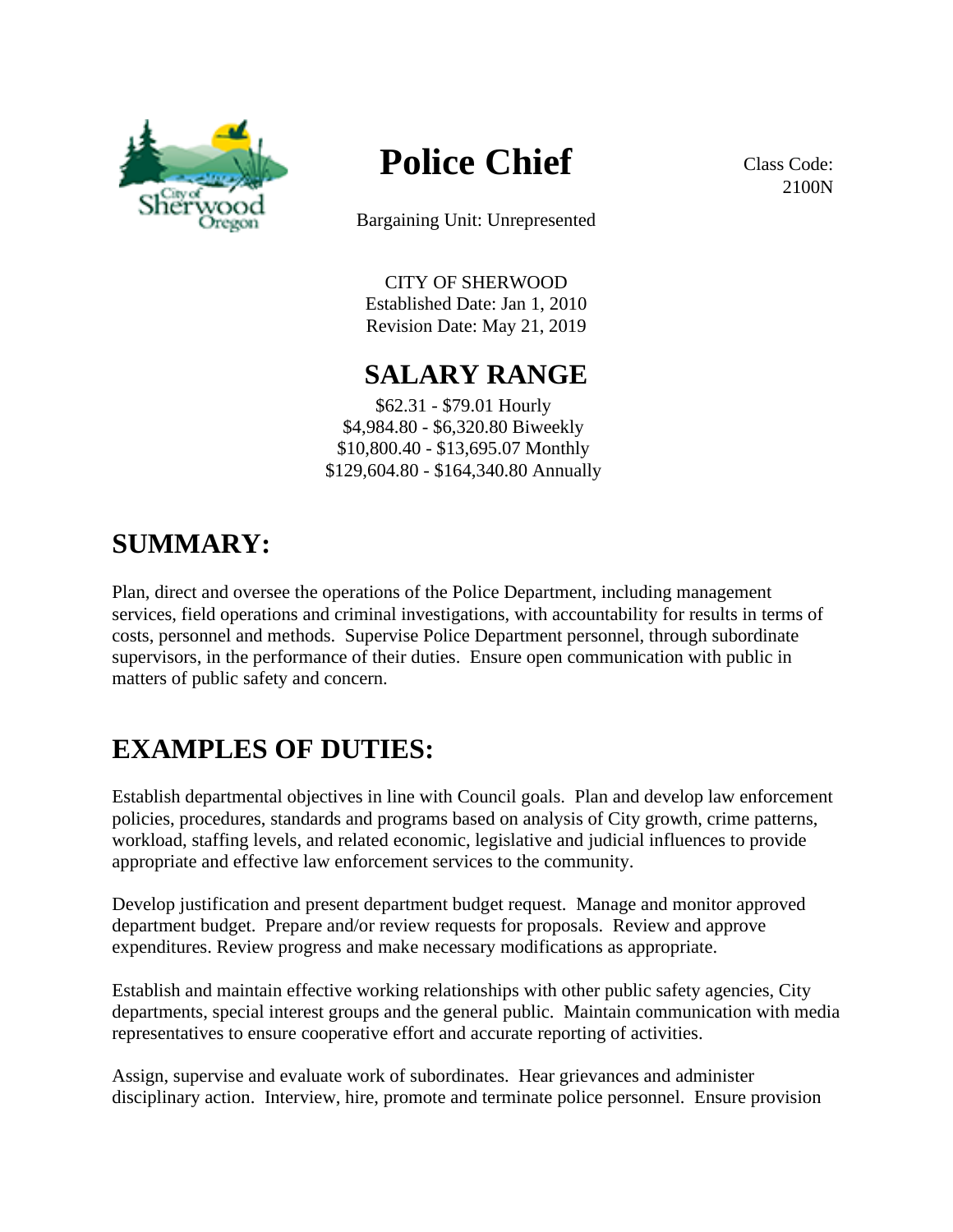

# **Police Chief**

Bargaining Unit: Unrepresented

CITY OF SHERWOOD Established Date: Jan 1, 2010 Revision Date: May 21, 2019

#### **SALARY RANGE**

\$62.31 - \$79.01 Hourly \$4,984.80 - \$6,320.80 Biweekly \$10,800.40 - \$13,695.07 Monthly \$129,604.80 - \$164,340.80 Annually

## **SUMMARY:**

Plan, direct and oversee the operations of the Police Department, including management services, field operations and criminal investigations, with accountability for results in terms of costs, personnel and methods. Supervise Police Department personnel, through subordinate supervisors, in the performance of their duties. Ensure open communication with public in matters of public safety and concern.

## **EXAMPLES OF DUTIES:**

Establish departmental objectives in line with Council goals. Plan and develop law enforcement policies, procedures, standards and programs based on analysis of City growth, crime patterns, workload, staffing levels, and related economic, legislative and judicial influences to provide appropriate and effective law enforcement services to the community.

Develop justification and present department budget request. Manage and monitor approved department budget. Prepare and/or review requests for proposals. Review and approve expenditures. Review progress and make necessary modifications as appropriate.

Establish and maintain effective working relationships with other public safety agencies, City departments, special interest groups and the general public. Maintain communication with media representatives to ensure cooperative effort and accurate reporting of activities.

Assign, supervise and evaluate work of subordinates. Hear grievances and administer disciplinary action. Interview, hire, promote and terminate police personnel. Ensure provision

Class Code: 2100N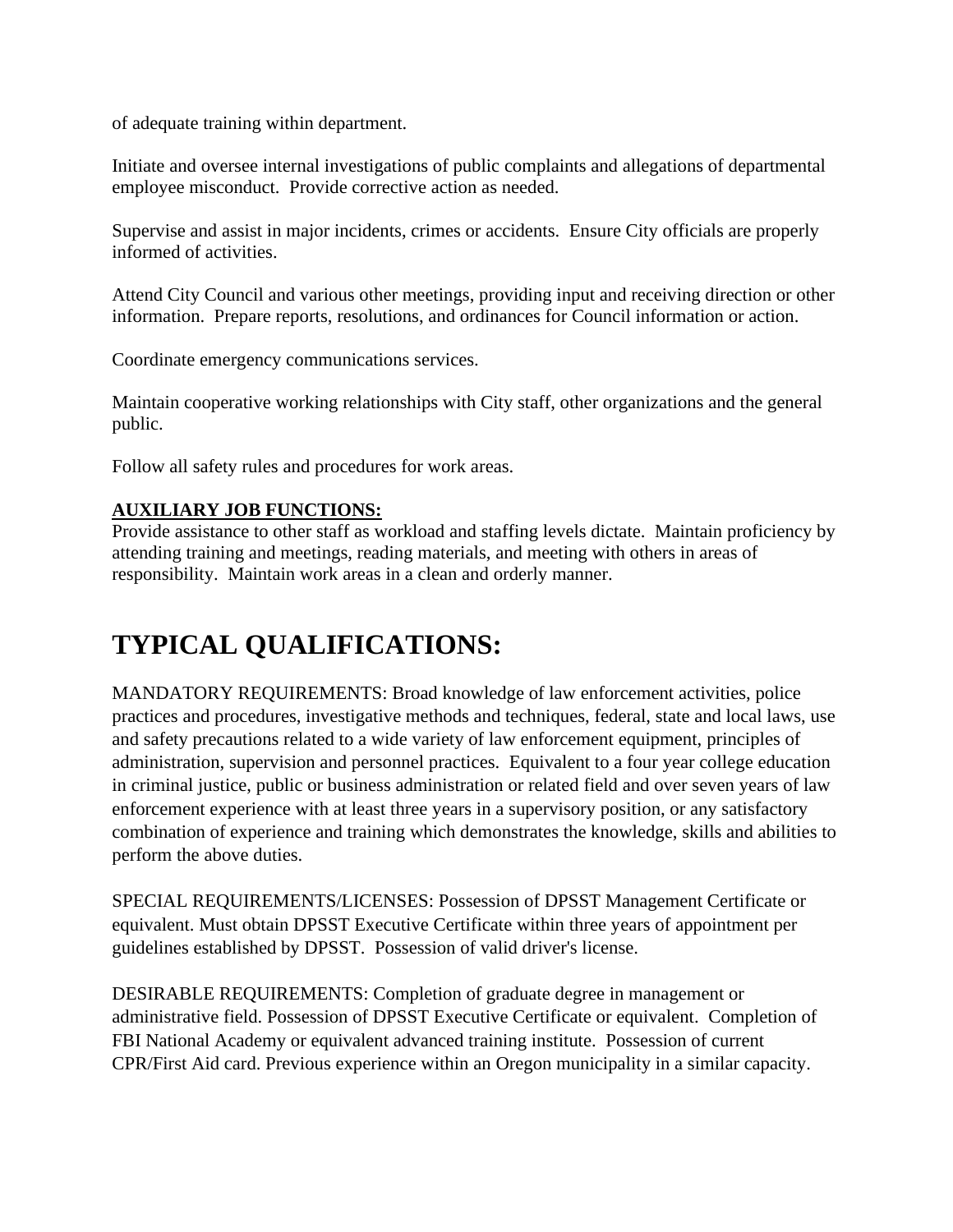of adequate training within department.

Initiate and oversee internal investigations of public complaints and allegations of departmental employee misconduct. Provide corrective action as needed.

Supervise and assist in major incidents, crimes or accidents. Ensure City officials are properly informed of activities.

Attend City Council and various other meetings, providing input and receiving direction or other information. Prepare reports, resolutions, and ordinances for Council information or action.

Coordinate emergency communications services.

Maintain cooperative working relationships with City staff, other organizations and the general public.

Follow all safety rules and procedures for work areas.

#### **AUXILIARY JOB FUNCTIONS:**

Provide assistance to other staff as workload and staffing levels dictate. Maintain proficiency by attending training and meetings, reading materials, and meeting with others in areas of responsibility. Maintain work areas in a clean and orderly manner.

## **TYPICAL QUALIFICATIONS:**

MANDATORY REQUIREMENTS: Broad knowledge of law enforcement activities, police practices and procedures, investigative methods and techniques, federal, state and local laws, use and safety precautions related to a wide variety of law enforcement equipment, principles of administration, supervision and personnel practices. Equivalent to a four year college education in criminal justice, public or business administration or related field and over seven years of law enforcement experience with at least three years in a supervisory position, or any satisfactory combination of experience and training which demonstrates the knowledge, skills and abilities to perform the above duties.

SPECIAL REQUIREMENTS/LICENSES: Possession of DPSST Management Certificate or equivalent. Must obtain DPSST Executive Certificate within three years of appointment per guidelines established by DPSST. Possession of valid driver's license.

DESIRABLE REQUIREMENTS: Completion of graduate degree in management or administrative field. Possession of DPSST Executive Certificate or equivalent. Completion of FBI National Academy or equivalent advanced training institute. Possession of current CPR/First Aid card. Previous experience within an Oregon municipality in a similar capacity.